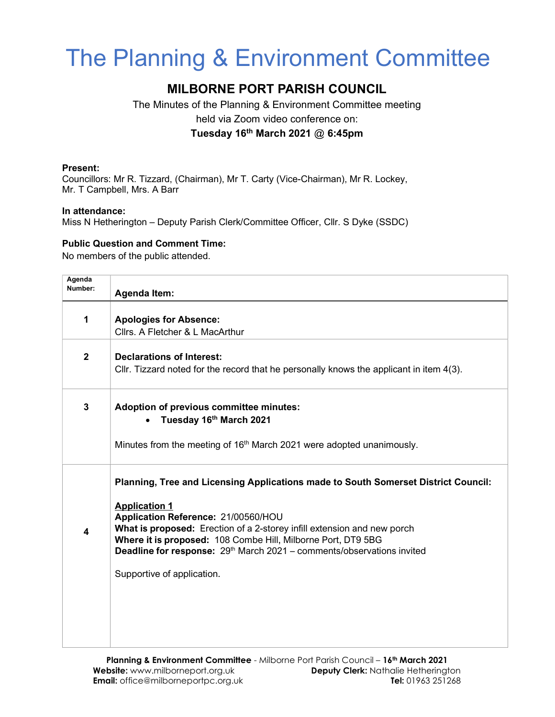# The Planning & Environment Committee

## MILBORNE PORT PARISH COUNCIL

The Minutes of the Planning & Environment Committee meeting held via Zoom video conference on:

Tuesday 16<sup>th</sup> March 2021  $@$  6:45pm

#### Present:

Councillors: Mr R. Tizzard, (Chairman), Mr T. Carty (Vice-Chairman), Mr R. Lockey, Mr. T Campbell, Mrs. A Barr

#### In attendance:

Miss N Hetherington – Deputy Parish Clerk/Committee Officer, Cllr. S Dyke (SSDC)

### Public Question and Comment Time:

No members of the public attended.

| Agenda<br>Number:       | <b>Agenda Item:</b>                                                                                                                                                                                                                                                                                                                                                                                              |
|-------------------------|------------------------------------------------------------------------------------------------------------------------------------------------------------------------------------------------------------------------------------------------------------------------------------------------------------------------------------------------------------------------------------------------------------------|
| 1                       | <b>Apologies for Absence:</b><br>Cllrs. A Fletcher & L MacArthur                                                                                                                                                                                                                                                                                                                                                 |
| $\overline{\mathbf{2}}$ | <b>Declarations of Interest:</b><br>Cllr. Tizzard noted for the record that he personally knows the applicant in item $4(3)$ .                                                                                                                                                                                                                                                                                   |
| $\mathbf{3}$            | Adoption of previous committee minutes:<br>Tuesday 16th March 2021<br>Minutes from the meeting of 16 <sup>th</sup> March 2021 were adopted unanimously.                                                                                                                                                                                                                                                          |
| 4                       | Planning, Tree and Licensing Applications made to South Somerset District Council:<br><b>Application 1</b><br>Application Reference: 21/00560/HOU<br>What is proposed: Erection of a 2-storey infill extension and new porch<br>Where it is proposed: 108 Combe Hill, Milborne Port, DT9 5BG<br>Deadline for response: 29 <sup>th</sup> March 2021 - comments/observations invited<br>Supportive of application. |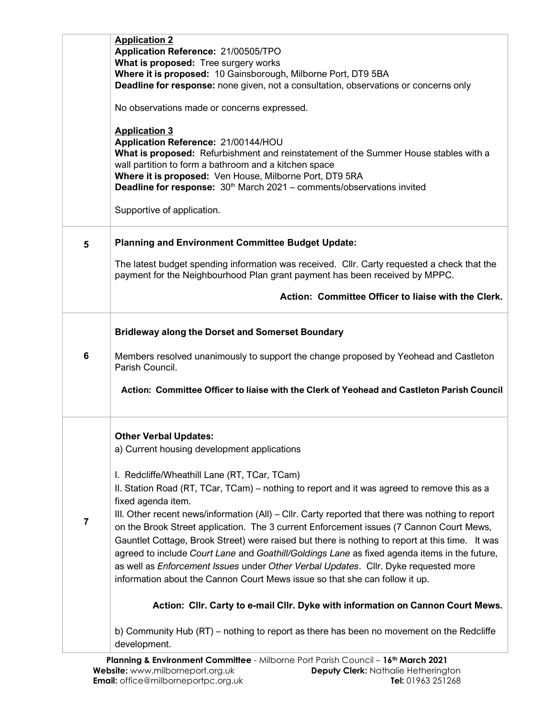|                | <b>Application 2</b><br>Application Reference: 21/00505/TPO<br>What is proposed: Tree surgery works<br>Where it is proposed: 10 Gainsborough, Milborne Port, DT9 5BA<br>Deadline for response: none given, not a consultation, observations or concerns only<br>No observations made or concerns expressed.<br><b>Application 3</b><br>Application Reference: 21/00144/HOU<br>What is proposed: Refurbishment and reinstatement of the Summer House stables with a<br>wall partition to form a bathroom and a kitchen space<br>Where it is proposed: Ven House, Milborne Port, DT9 5RA<br><b>Deadline for response:</b> $30th$ March 2021 – comments/observations invited |
|----------------|---------------------------------------------------------------------------------------------------------------------------------------------------------------------------------------------------------------------------------------------------------------------------------------------------------------------------------------------------------------------------------------------------------------------------------------------------------------------------------------------------------------------------------------------------------------------------------------------------------------------------------------------------------------------------|
|                | Supportive of application.                                                                                                                                                                                                                                                                                                                                                                                                                                                                                                                                                                                                                                                |
| 5              | <b>Planning and Environment Committee Budget Update:</b>                                                                                                                                                                                                                                                                                                                                                                                                                                                                                                                                                                                                                  |
|                | The latest budget spending information was received. Cllr. Carty requested a check that the<br>payment for the Neighbourhood Plan grant payment has been received by MPPC.                                                                                                                                                                                                                                                                                                                                                                                                                                                                                                |
|                | Action: Committee Officer to liaise with the Clerk.                                                                                                                                                                                                                                                                                                                                                                                                                                                                                                                                                                                                                       |
|                | <b>Bridleway along the Dorset and Somerset Boundary</b>                                                                                                                                                                                                                                                                                                                                                                                                                                                                                                                                                                                                                   |
| 6              | Members resolved unanimously to support the change proposed by Yeohead and Castleton<br>Parish Council.                                                                                                                                                                                                                                                                                                                                                                                                                                                                                                                                                                   |
|                | Action: Committee Officer to liaise with the Clerk of Yeohead and Castleton Parish Council                                                                                                                                                                                                                                                                                                                                                                                                                                                                                                                                                                                |
|                | <b>Other Verbal Updates:</b><br>a) Current housing development applications                                                                                                                                                                                                                                                                                                                                                                                                                                                                                                                                                                                               |
|                | I. Redcliffe/Wheathill Lane (RT, TCar, TCam)                                                                                                                                                                                                                                                                                                                                                                                                                                                                                                                                                                                                                              |
|                | II. Station Road (RT, TCar, TCam) - nothing to report and it was agreed to remove this as a<br>fixed agenda item.                                                                                                                                                                                                                                                                                                                                                                                                                                                                                                                                                         |
| $\overline{7}$ | III. Other recent news/information (All) – Cllr. Carty reported that there was nothing to report                                                                                                                                                                                                                                                                                                                                                                                                                                                                                                                                                                          |
|                | on the Brook Street application. The 3 current Enforcement issues (7 Cannon Court Mews,<br>Gauntlet Cottage, Brook Street) were raised but there is nothing to report at this time. It was                                                                                                                                                                                                                                                                                                                                                                                                                                                                                |
|                | agreed to include Court Lane and Goathill/Goldings Lane as fixed agenda items in the future,                                                                                                                                                                                                                                                                                                                                                                                                                                                                                                                                                                              |
|                | as well as Enforcement Issues under Other Verbal Updates. Cllr. Dyke requested more<br>information about the Cannon Court Mews issue so that she can follow it up.                                                                                                                                                                                                                                                                                                                                                                                                                                                                                                        |
|                | Action: Cllr. Carty to e-mail Cllr. Dyke with information on Cannon Court Mews.                                                                                                                                                                                                                                                                                                                                                                                                                                                                                                                                                                                           |
|                | b) Community Hub (RT) - nothing to report as there has been no movement on the Redcliffe<br>development.                                                                                                                                                                                                                                                                                                                                                                                                                                                                                                                                                                  |